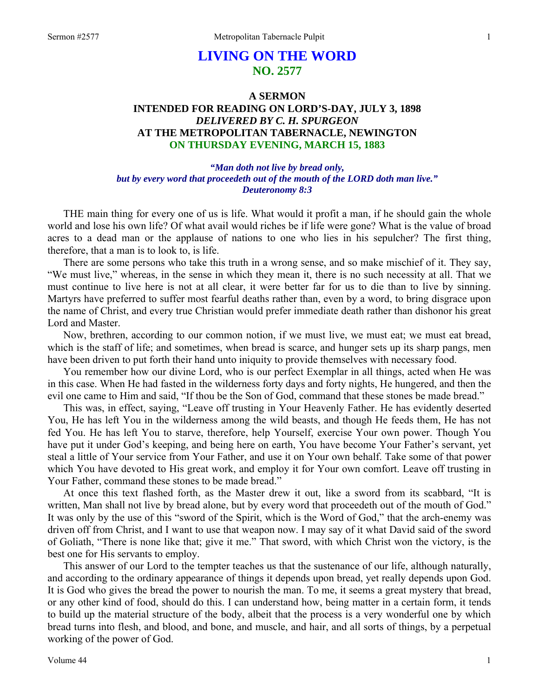# **LIVING ON THE WORD NO. 2577**

# **A SERMON INTENDED FOR READING ON LORD'S-DAY, JULY 3, 1898**  *DELIVERED BY C. H. SPURGEON*  **AT THE METROPOLITAN TABERNACLE, NEWINGTON ON THURSDAY EVENING, MARCH 15, 1883**

### *"Man doth not live by bread only, but by every word that proceedeth out of the mouth of the LORD doth man live." Deuteronomy 8:3*

THE main thing for every one of us is life. What would it profit a man, if he should gain the whole world and lose his own life? Of what avail would riches be if life were gone? What is the value of broad acres to a dead man or the applause of nations to one who lies in his sepulcher? The first thing, therefore, that a man is to look to, is life.

There are some persons who take this truth in a wrong sense, and so make mischief of it. They say, "We must live," whereas, in the sense in which they mean it, there is no such necessity at all. That we must continue to live here is not at all clear, it were better far for us to die than to live by sinning. Martyrs have preferred to suffer most fearful deaths rather than, even by a word, to bring disgrace upon the name of Christ, and every true Christian would prefer immediate death rather than dishonor his great Lord and Master.

Now, brethren, according to our common notion, if we must live, we must eat; we must eat bread, which is the staff of life; and sometimes, when bread is scarce, and hunger sets up its sharp pangs, men have been driven to put forth their hand unto iniquity to provide themselves with necessary food.

You remember how our divine Lord, who is our perfect Exemplar in all things, acted when He was in this case. When He had fasted in the wilderness forty days and forty nights, He hungered, and then the evil one came to Him and said, "If thou be the Son of God, command that these stones be made bread."

This was, in effect, saying, "Leave off trusting in Your Heavenly Father. He has evidently deserted You, He has left You in the wilderness among the wild beasts, and though He feeds them, He has not fed You. He has left You to starve, therefore, help Yourself, exercise Your own power. Though You have put it under God's keeping, and being here on earth, You have become Your Father's servant, yet steal a little of Your service from Your Father, and use it on Your own behalf. Take some of that power which You have devoted to His great work, and employ it for Your own comfort. Leave off trusting in Your Father, command these stones to be made bread."

At once this text flashed forth, as the Master drew it out, like a sword from its scabbard, "It is written, Man shall not live by bread alone, but by every word that proceedeth out of the mouth of God." It was only by the use of this "sword of the Spirit, which is the Word of God," that the arch-enemy was driven off from Christ, and I want to use that weapon now. I may say of it what David said of the sword of Goliath, "There is none like that; give it me." That sword, with which Christ won the victory, is the best one for His servants to employ.

This answer of our Lord to the tempter teaches us that the sustenance of our life, although naturally, and according to the ordinary appearance of things it depends upon bread, yet really depends upon God. It is God who gives the bread the power to nourish the man. To me, it seems a great mystery that bread, or any other kind of food, should do this. I can understand how, being matter in a certain form, it tends to build up the material structure of the body, albeit that the process is a very wonderful one by which bread turns into flesh, and blood, and bone, and muscle, and hair, and all sorts of things, by a perpetual working of the power of God.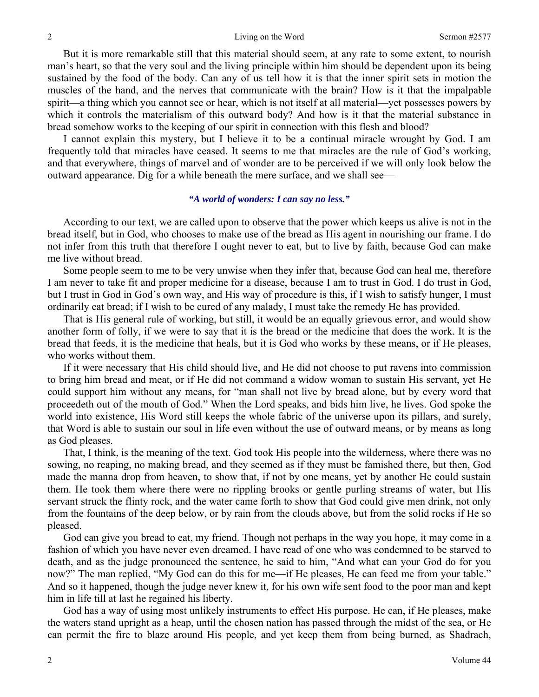But it is more remarkable still that this material should seem, at any rate to some extent, to nourish man's heart, so that the very soul and the living principle within him should be dependent upon its being sustained by the food of the body. Can any of us tell how it is that the inner spirit sets in motion the muscles of the hand, and the nerves that communicate with the brain? How is it that the impalpable spirit—a thing which you cannot see or hear, which is not itself at all material—yet possesses powers by which it controls the materialism of this outward body? And how is it that the material substance in bread somehow works to the keeping of our spirit in connection with this flesh and blood?

I cannot explain this mystery, but I believe it to be a continual miracle wrought by God. I am frequently told that miracles have ceased. It seems to me that miracles are the rule of God's working, and that everywhere, things of marvel and of wonder are to be perceived if we will only look below the outward appearance. Dig for a while beneath the mere surface, and we shall see—

#### *"A world of wonders: I can say no less."*

According to our text, we are called upon to observe that the power which keeps us alive is not in the bread itself, but in God, who chooses to make use of the bread as His agent in nourishing our frame. I do not infer from this truth that therefore I ought never to eat, but to live by faith, because God can make me live without bread.

Some people seem to me to be very unwise when they infer that, because God can heal me, therefore I am never to take fit and proper medicine for a disease, because I am to trust in God. I do trust in God, but I trust in God in God's own way, and His way of procedure is this, if I wish to satisfy hunger, I must ordinarily eat bread; if I wish to be cured of any malady, I must take the remedy He has provided.

That is His general rule of working, but still, it would be an equally grievous error, and would show another form of folly, if we were to say that it is the bread or the medicine that does the work. It is the bread that feeds, it is the medicine that heals, but it is God who works by these means, or if He pleases, who works without them.

If it were necessary that His child should live, and He did not choose to put ravens into commission to bring him bread and meat, or if He did not command a widow woman to sustain His servant, yet He could support him without any means, for "man shall not live by bread alone, but by every word that proceedeth out of the mouth of God." When the Lord speaks, and bids him live, he lives. God spoke the world into existence, His Word still keeps the whole fabric of the universe upon its pillars, and surely, that Word is able to sustain our soul in life even without the use of outward means, or by means as long as God pleases.

That, I think, is the meaning of the text. God took His people into the wilderness, where there was no sowing, no reaping, no making bread, and they seemed as if they must be famished there, but then, God made the manna drop from heaven, to show that, if not by one means, yet by another He could sustain them. He took them where there were no rippling brooks or gentle purling streams of water, but His servant struck the flinty rock, and the water came forth to show that God could give men drink, not only from the fountains of the deep below, or by rain from the clouds above, but from the solid rocks if He so pleased.

God can give you bread to eat, my friend. Though not perhaps in the way you hope, it may come in a fashion of which you have never even dreamed. I have read of one who was condemned to be starved to death, and as the judge pronounced the sentence, he said to him, "And what can your God do for you now?" The man replied, "My God can do this for me—if He pleases, He can feed me from your table." And so it happened, though the judge never knew it, for his own wife sent food to the poor man and kept him in life till at last he regained his liberty.

God has a way of using most unlikely instruments to effect His purpose. He can, if He pleases, make the waters stand upright as a heap, until the chosen nation has passed through the midst of the sea, or He can permit the fire to blaze around His people, and yet keep them from being burned, as Shadrach,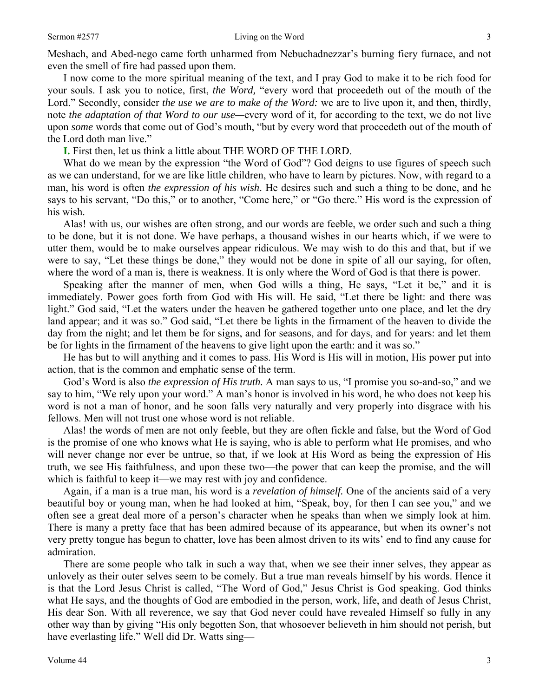Meshach, and Abed-nego came forth unharmed from Nebuchadnezzar's burning fiery furnace, and not even the smell of fire had passed upon them.

I now come to the more spiritual meaning of the text, and I pray God to make it to be rich food for your souls. I ask you to notice, first, *the Word,* "every word that proceedeth out of the mouth of the Lord." Secondly, consider *the use we are to make of the Word:* we are to live upon it, and then, thirdly, note *the adaptation of that Word to our use—*every word of it, for according to the text, we do not live upon *some* words that come out of God's mouth, "but by every word that proceedeth out of the mouth of the Lord doth man live."

**I.** First then, let us think a little about THE WORD OF THE LORD.

What do we mean by the expression "the Word of God"? God deigns to use figures of speech such as we can understand, for we are like little children, who have to learn by pictures. Now, with regard to a man, his word is often *the expression of his wish*. He desires such and such a thing to be done, and he says to his servant, "Do this," or to another, "Come here," or "Go there." His word is the expression of his wish.

Alas! with us, our wishes are often strong, and our words are feeble, we order such and such a thing to be done, but it is not done. We have perhaps, a thousand wishes in our hearts which, if we were to utter them, would be to make ourselves appear ridiculous. We may wish to do this and that, but if we were to say, "Let these things be done," they would not be done in spite of all our saying, for often, where the word of a man is, there is weakness. It is only where the Word of God is that there is power.

Speaking after the manner of men, when God wills a thing, He says, "Let it be," and it is immediately. Power goes forth from God with His will. He said, "Let there be light: and there was light." God said, "Let the waters under the heaven be gathered together unto one place, and let the dry land appear; and it was so." God said, "Let there be lights in the firmament of the heaven to divide the day from the night; and let them be for signs, and for seasons, and for days, and for years: and let them be for lights in the firmament of the heavens to give light upon the earth: and it was so."

He has but to will anything and it comes to pass. His Word is His will in motion, His power put into action, that is the common and emphatic sense of the term.

God's Word is also *the expression of His truth.* A man says to us, "I promise you so-and-so," and we say to him, "We rely upon your word." A man's honor is involved in his word, he who does not keep his word is not a man of honor, and he soon falls very naturally and very properly into disgrace with his fellows. Men will not trust one whose word is not reliable.

Alas! the words of men are not only feeble, but they are often fickle and false, but the Word of God is the promise of one who knows what He is saying, who is able to perform what He promises, and who will never change nor ever be untrue, so that, if we look at His Word as being the expression of His truth, we see His faithfulness, and upon these two—the power that can keep the promise, and the will which is faithful to keep it—we may rest with joy and confidence.

Again, if a man is a true man, his word is a *revelation of himself.* One of the ancients said of a very beautiful boy or young man, when he had looked at him, "Speak, boy, for then I can see you," and we often see a great deal more of a person's character when he speaks than when we simply look at him. There is many a pretty face that has been admired because of its appearance, but when its owner's not very pretty tongue has begun to chatter, love has been almost driven to its wits' end to find any cause for admiration.

There are some people who talk in such a way that, when we see their inner selves, they appear as unlovely as their outer selves seem to be comely. But a true man reveals himself by his words. Hence it is that the Lord Jesus Christ is called, "The Word of God," Jesus Christ is God speaking. God thinks what He says, and the thoughts of God are embodied in the person, work, life, and death of Jesus Christ, His dear Son. With all reverence, we say that God never could have revealed Himself so fully in any other way than by giving "His only begotten Son, that whosoever believeth in him should not perish, but have everlasting life." Well did Dr. Watts sing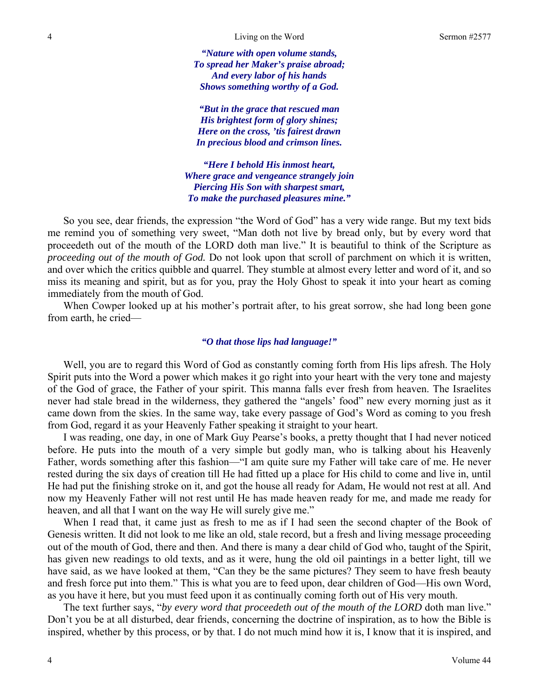4 **Living on the Word** Sermon #2577

*"Nature with open volume stands, To spread her Maker's praise abroad; And every labor of his hands Shows something worthy of a God.* 

*"But in the grace that rescued man His brightest form of glory shines; Here on the cross, 'tis fairest drawn In precious blood and crimson lines.* 

*"Here I behold His inmost heart, Where grace and vengeance strangely join Piercing His Son with sharpest smart, To make the purchased pleasures mine."* 

So you see, dear friends, the expression "the Word of God" has a very wide range. But my text bids me remind you of something very sweet, "Man doth not live by bread only, but by every word that proceedeth out of the mouth of the LORD doth man live." It is beautiful to think of the Scripture as *proceeding out of the mouth of God.* Do not look upon that scroll of parchment on which it is written, and over which the critics quibble and quarrel. They stumble at almost every letter and word of it, and so miss its meaning and spirit, but as for you, pray the Holy Ghost to speak it into your heart as coming immediately from the mouth of God.

When Cowper looked up at his mother's portrait after, to his great sorrow, she had long been gone from earth, he cried—

#### *"O that those lips had language!"*

Well, you are to regard this Word of God as constantly coming forth from His lips afresh. The Holy Spirit puts into the Word a power which makes it go right into your heart with the very tone and majesty of the God of grace, the Father of your spirit. This manna falls ever fresh from heaven. The Israelites never had stale bread in the wilderness, they gathered the "angels' food" new every morning just as it came down from the skies. In the same way, take every passage of God's Word as coming to you fresh from God, regard it as your Heavenly Father speaking it straight to your heart.

I was reading, one day, in one of Mark Guy Pearse's books, a pretty thought that I had never noticed before. He puts into the mouth of a very simple but godly man, who is talking about his Heavenly Father, words something after this fashion—"I am quite sure my Father will take care of me. He never rested during the six days of creation till He had fitted up a place for His child to come and live in, until He had put the finishing stroke on it, and got the house all ready for Adam, He would not rest at all. And now my Heavenly Father will not rest until He has made heaven ready for me, and made me ready for heaven, and all that I want on the way He will surely give me."

When I read that, it came just as fresh to me as if I had seen the second chapter of the Book of Genesis written. It did not look to me like an old, stale record, but a fresh and living message proceeding out of the mouth of God, there and then. And there is many a dear child of God who, taught of the Spirit, has given new readings to old texts, and as it were, hung the old oil paintings in a better light, till we have said, as we have looked at them, "Can they be the same pictures? They seem to have fresh beauty and fresh force put into them." This is what you are to feed upon, dear children of God—His own Word, as you have it here, but you must feed upon it as continually coming forth out of His very mouth.

The text further says, "*by every word that proceedeth out of the mouth of the LORD* doth man live." Don't you be at all disturbed, dear friends, concerning the doctrine of inspiration, as to how the Bible is inspired, whether by this process, or by that. I do not much mind how it is, I know that it is inspired, and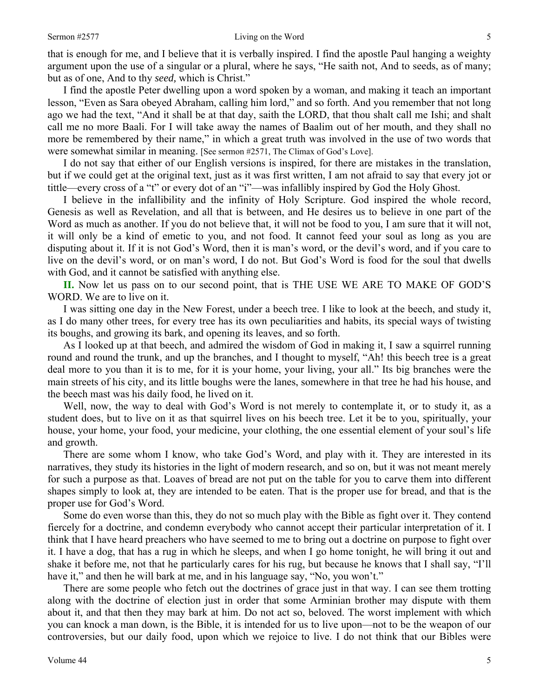that is enough for me, and I believe that it is verbally inspired. I find the apostle Paul hanging a weighty argument upon the use of a singular or a plural, where he says, "He saith not, And to seeds, as of many; but as of one, And to thy *seed,* which is Christ."

I find the apostle Peter dwelling upon a word spoken by a woman, and making it teach an important lesson, "Even as Sara obeyed Abraham, calling him lord," and so forth. And you remember that not long ago we had the text, "And it shall be at that day, saith the LORD, that thou shalt call me Ishi; and shalt call me no more Baali. For I will take away the names of Baalim out of her mouth, and they shall no more be remembered by their name," in which a great truth was involved in the use of two words that were somewhat similar in meaning. [See sermon #2571, The Climax of God's Love].

I do not say that either of our English versions is inspired, for there are mistakes in the translation, but if we could get at the original text, just as it was first written, I am not afraid to say that every jot or tittle—every cross of a "t" or every dot of an "i"—was infallibly inspired by God the Holy Ghost.

I believe in the infallibility and the infinity of Holy Scripture. God inspired the whole record, Genesis as well as Revelation, and all that is between, and He desires us to believe in one part of the Word as much as another. If you do not believe that, it will not be food to you, I am sure that it will not, it will only be a kind of emetic to you, and not food. It cannot feed your soul as long as you are disputing about it. If it is not God's Word, then it is man's word, or the devil's word, and if you care to live on the devil's word, or on man's word, I do not. But God's Word is food for the soul that dwells with God, and it cannot be satisfied with anything else.

**II.** Now let us pass on to our second point, that is THE USE WE ARE TO MAKE OF GOD'S WORD. We are to live on it.

I was sitting one day in the New Forest, under a beech tree. I like to look at the beech, and study it, as I do many other trees, for every tree has its own peculiarities and habits, its special ways of twisting its boughs, and growing its bark, and opening its leaves, and so forth.

As I looked up at that beech, and admired the wisdom of God in making it, I saw a squirrel running round and round the trunk, and up the branches, and I thought to myself, "Ah! this beech tree is a great deal more to you than it is to me, for it is your home, your living, your all." Its big branches were the main streets of his city, and its little boughs were the lanes, somewhere in that tree he had his house, and the beech mast was his daily food, he lived on it.

Well, now, the way to deal with God's Word is not merely to contemplate it, or to study it, as a student does, but to live on it as that squirrel lives on his beech tree. Let it be to you, spiritually, your house, your home, your food, your medicine, your clothing, the one essential element of your soul's life and growth.

There are some whom I know, who take God's Word, and play with it. They are interested in its narratives, they study its histories in the light of modern research, and so on, but it was not meant merely for such a purpose as that. Loaves of bread are not put on the table for you to carve them into different shapes simply to look at, they are intended to be eaten. That is the proper use for bread, and that is the proper use for God's Word.

Some do even worse than this, they do not so much play with the Bible as fight over it. They contend fiercely for a doctrine, and condemn everybody who cannot accept their particular interpretation of it. I think that I have heard preachers who have seemed to me to bring out a doctrine on purpose to fight over it. I have a dog, that has a rug in which he sleeps, and when I go home tonight, he will bring it out and shake it before me, not that he particularly cares for his rug, but because he knows that I shall say, "I'll have it," and then he will bark at me, and in his language say, "No, you won't."

There are some people who fetch out the doctrines of grace just in that way. I can see them trotting along with the doctrine of election just in order that some Arminian brother may dispute with them about it, and that then they may bark at him. Do not act so, beloved. The worst implement with which you can knock a man down, is the Bible, it is intended for us to live upon—not to be the weapon of our controversies, but our daily food, upon which we rejoice to live. I do not think that our Bibles were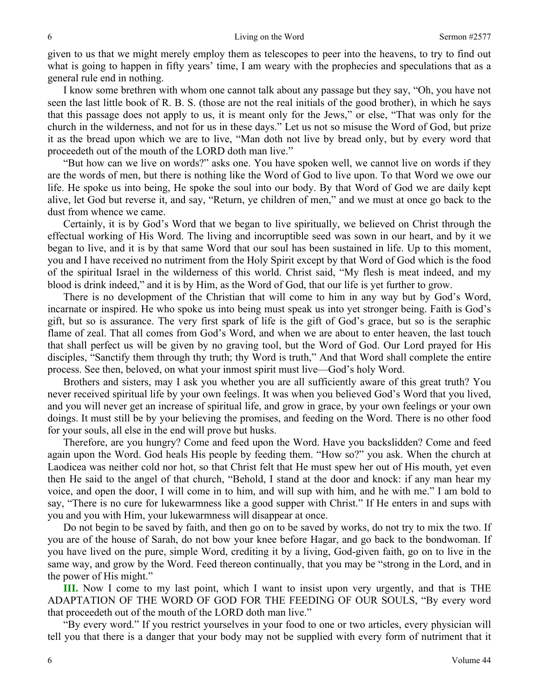given to us that we might merely employ them as telescopes to peer into the heavens, to try to find out what is going to happen in fifty years' time, I am weary with the prophecies and speculations that as a general rule end in nothing.

I know some brethren with whom one cannot talk about any passage but they say, "Oh, you have not seen the last little book of R. B. S. (those are not the real initials of the good brother), in which he says that this passage does not apply to us, it is meant only for the Jews," or else, "That was only for the church in the wilderness, and not for us in these days." Let us not so misuse the Word of God, but prize it as the bread upon which we are to live, "Man doth not live by bread only, but by every word that proceedeth out of the mouth of the LORD doth man live."

"But how can we live on words?" asks one. You have spoken well, we cannot live on words if they are the words of men, but there is nothing like the Word of God to live upon. To that Word we owe our life. He spoke us into being, He spoke the soul into our body. By that Word of God we are daily kept alive, let God but reverse it, and say, "Return, ye children of men," and we must at once go back to the dust from whence we came.

Certainly, it is by God's Word that we began to live spiritually, we believed on Christ through the effectual working of His Word. The living and incorruptible seed was sown in our heart, and by it we began to live, and it is by that same Word that our soul has been sustained in life. Up to this moment, you and I have received no nutriment from the Holy Spirit except by that Word of God which is the food of the spiritual Israel in the wilderness of this world. Christ said, "My flesh is meat indeed, and my blood is drink indeed," and it is by Him, as the Word of God, that our life is yet further to grow.

There is no development of the Christian that will come to him in any way but by God's Word, incarnate or inspired. He who spoke us into being must speak us into yet stronger being. Faith is God's gift, but so is assurance. The very first spark of life is the gift of God's grace, but so is the seraphic flame of zeal. That all comes from God's Word, and when we are about to enter heaven, the last touch that shall perfect us will be given by no graving tool, but the Word of God. Our Lord prayed for His disciples, "Sanctify them through thy truth; thy Word is truth," And that Word shall complete the entire process. See then, beloved, on what your inmost spirit must live—God's holy Word.

Brothers and sisters, may I ask you whether you are all sufficiently aware of this great truth? You never received spiritual life by your own feelings. It was when you believed God's Word that you lived, and you will never get an increase of spiritual life, and grow in grace, by your own feelings or your own doings. It must still be by your believing the promises, and feeding on the Word. There is no other food for your souls, all else in the end will prove but husks.

Therefore, are you hungry? Come and feed upon the Word. Have you backslidden? Come and feed again upon the Word. God heals His people by feeding them. "How so?" you ask. When the church at Laodicea was neither cold nor hot, so that Christ felt that He must spew her out of His mouth, yet even then He said to the angel of that church, "Behold, I stand at the door and knock: if any man hear my voice, and open the door, I will come in to him, and will sup with him, and he with me." I am bold to say, "There is no cure for lukewarmness like a good supper with Christ." If He enters in and sups with you and you with Him, your lukewarmness will disappear at once.

Do not begin to be saved by faith, and then go on to be saved by works, do not try to mix the two. If you are of the house of Sarah, do not bow your knee before Hagar, and go back to the bondwoman. If you have lived on the pure, simple Word, crediting it by a living, God-given faith, go on to live in the same way, and grow by the Word. Feed thereon continually, that you may be "strong in the Lord, and in the power of His might."

**III.** Now I come to my last point, which I want to insist upon very urgently, and that is THE ADAPTATION OF THE WORD OF GOD FOR THE FEEDING OF OUR SOULS, "By every word that proceedeth out of the mouth of the LORD doth man live."

"By every word." If you restrict yourselves in your food to one or two articles, every physician will tell you that there is a danger that your body may not be supplied with every form of nutriment that it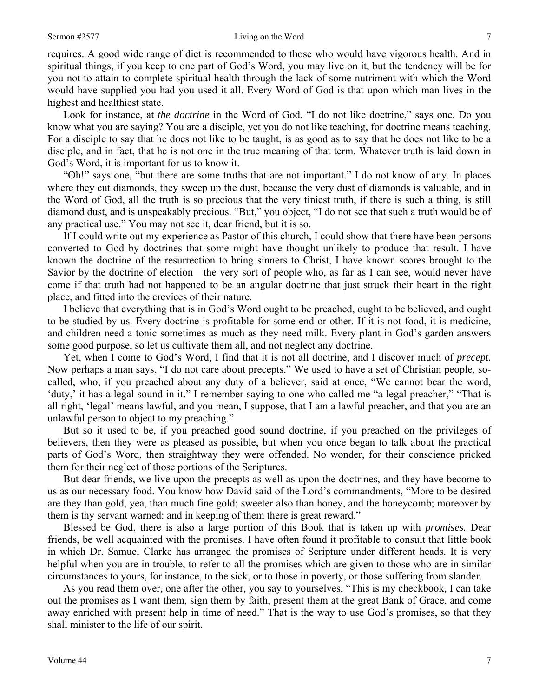requires. A good wide range of diet is recommended to those who would have vigorous health. And in spiritual things, if you keep to one part of God's Word, you may live on it, but the tendency will be for you not to attain to complete spiritual health through the lack of some nutriment with which the Word would have supplied you had you used it all. Every Word of God is that upon which man lives in the highest and healthiest state.

Look for instance, at *the doctrine* in the Word of God. "I do not like doctrine," says one. Do you know what you are saying? You are a disciple, yet you do not like teaching, for doctrine means teaching. For a disciple to say that he does not like to be taught, is as good as to say that he does not like to be a disciple, and in fact, that he is not one in the true meaning of that term. Whatever truth is laid down in God's Word, it is important for us to know it.

"Oh!" says one, "but there are some truths that are not important." I do not know of any. In places where they cut diamonds, they sweep up the dust, because the very dust of diamonds is valuable, and in the Word of God, all the truth is so precious that the very tiniest truth, if there is such a thing, is still diamond dust, and is unspeakably precious. "But," you object, "I do not see that such a truth would be of any practical use." You may not see it, dear friend, but it is so.

If I could write out my experience as Pastor of this church, I could show that there have been persons converted to God by doctrines that some might have thought unlikely to produce that result. I have known the doctrine of the resurrection to bring sinners to Christ, I have known scores brought to the Savior by the doctrine of election—the very sort of people who, as far as I can see, would never have come if that truth had not happened to be an angular doctrine that just struck their heart in the right place, and fitted into the crevices of their nature.

I believe that everything that is in God's Word ought to be preached, ought to be believed, and ought to be studied by us. Every doctrine is profitable for some end or other. If it is not food, it is medicine, and children need a tonic sometimes as much as they need milk. Every plant in God's garden answers some good purpose, so let us cultivate them all, and not neglect any doctrine.

Yet, when I come to God's Word, I find that it is not all doctrine, and I discover much of *precept.*  Now perhaps a man says, "I do not care about precepts." We used to have a set of Christian people, socalled, who, if you preached about any duty of a believer, said at once, "We cannot bear the word, 'duty,' it has a legal sound in it." I remember saying to one who called me "a legal preacher," "That is all right, 'legal' means lawful, and you mean, I suppose, that I am a lawful preacher, and that you are an unlawful person to object to my preaching."

But so it used to be, if you preached good sound doctrine, if you preached on the privileges of believers, then they were as pleased as possible, but when you once began to talk about the practical parts of God's Word, then straightway they were offended. No wonder, for their conscience pricked them for their neglect of those portions of the Scriptures.

But dear friends, we live upon the precepts as well as upon the doctrines, and they have become to us as our necessary food. You know how David said of the Lord's commandments, "More to be desired are they than gold, yea, than much fine gold; sweeter also than honey, and the honeycomb; moreover by them is thy servant warned: and in keeping of them there is great reward."

Blessed be God, there is also a large portion of this Book that is taken up with *promises.* Dear friends, be well acquainted with the promises. I have often found it profitable to consult that little book in which Dr. Samuel Clarke has arranged the promises of Scripture under different heads. It is very helpful when you are in trouble, to refer to all the promises which are given to those who are in similar circumstances to yours, for instance, to the sick, or to those in poverty, or those suffering from slander.

As you read them over, one after the other, you say to yourselves, "This is my checkbook, I can take out the promises as I want them, sign them by faith, present them at the great Bank of Grace, and come away enriched with present help in time of need." That is the way to use God's promises, so that they shall minister to the life of our spirit.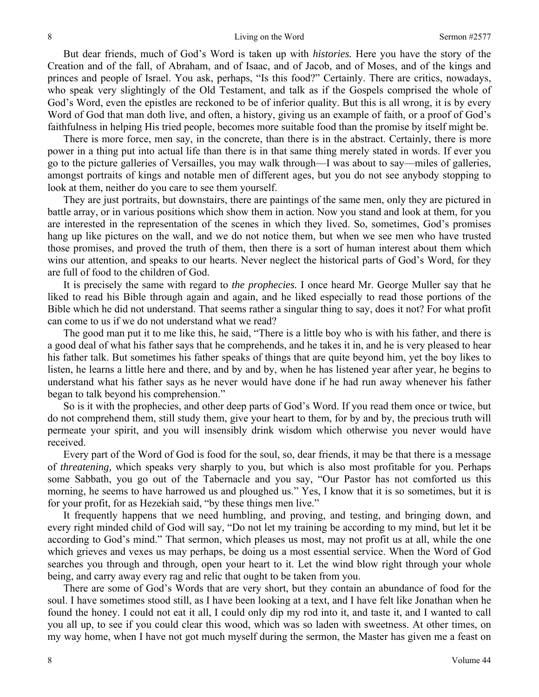But dear friends, much of God's Word is taken up with *histories.* Here you have the story of the Creation and of the fall, of Abraham, and of Isaac, and of Jacob, and of Moses, and of the kings and princes and people of Israel. You ask, perhaps, "Is this food?" Certainly. There are critics, nowadays, who speak very slightingly of the Old Testament, and talk as if the Gospels comprised the whole of God's Word, even the epistles are reckoned to be of inferior quality. But this is all wrong, it is by every Word of God that man doth live, and often, a history, giving us an example of faith, or a proof of God's faithfulness in helping His tried people, becomes more suitable food than the promise by itself might be.

There is more force, men say, in the concrete, than there is in the abstract. Certainly, there is more power in a thing put into actual life than there is in that same thing merely stated in words. If ever you go to the picture galleries of Versailles, you may walk through—I was about to say—miles of galleries, amongst portraits of kings and notable men of different ages, but you do not see anybody stopping to look at them, neither do you care to see them yourself.

They are just portraits, but downstairs, there are paintings of the same men, only they are pictured in battle array, or in various positions which show them in action. Now you stand and look at them, for you are interested in the representation of the scenes in which they lived. So, sometimes, God's promises hang up like pictures on the wall, and we do not notice them, but when we see men who have trusted those promises, and proved the truth of them, then there is a sort of human interest about them which wins our attention, and speaks to our hearts. Never neglect the historical parts of God's Word, for they are full of food to the children of God.

It is precisely the same with regard to *the prophecies.* I once heard Mr. George Muller say that he liked to read his Bible through again and again, and he liked especially to read those portions of the Bible which he did not understand. That seems rather a singular thing to say, does it not? For what profit can come to us if we do not understand what we read?

The good man put it to me like this, he said, "There is a little boy who is with his father, and there is a good deal of what his father says that he comprehends, and he takes it in, and he is very pleased to hear his father talk. But sometimes his father speaks of things that are quite beyond him, yet the boy likes to listen, he learns a little here and there, and by and by, when he has listened year after year, he begins to understand what his father says as he never would have done if he had run away whenever his father began to talk beyond his comprehension."

So is it with the prophecies, and other deep parts of God's Word. If you read them once or twice, but do not comprehend them, still study them, give your heart to them, for by and by, the precious truth will permeate your spirit, and you will insensibly drink wisdom which otherwise you never would have received.

Every part of the Word of God is food for the soul, so, dear friends, it may be that there is a message of *threatening,* which speaks very sharply to you, but which is also most profitable for you. Perhaps some Sabbath, you go out of the Tabernacle and you say, "Our Pastor has not comforted us this morning, he seems to have harrowed us and ploughed us." Yes, I know that it is so sometimes, but it is for your profit, for as Hezekiah said, "by these things men live."

It frequently happens that we need humbling, and proving, and testing, and bringing down, and every right minded child of God will say, "Do not let my training be according to my mind, but let it be according to God's mind." That sermon, which pleases us most, may not profit us at all, while the one which grieves and vexes us may perhaps, be doing us a most essential service. When the Word of God searches you through and through, open your heart to it. Let the wind blow right through your whole being, and carry away every rag and relic that ought to be taken from you.

There are some of God's Words that are very short, but they contain an abundance of food for the soul. I have sometimes stood still, as I have been looking at a text, and I have felt like Jonathan when he found the honey. I could not eat it all, I could only dip my rod into it, and taste it, and I wanted to call you all up, to see if you could clear this wood, which was so laden with sweetness. At other times, on my way home, when I have not got much myself during the sermon, the Master has given me a feast on